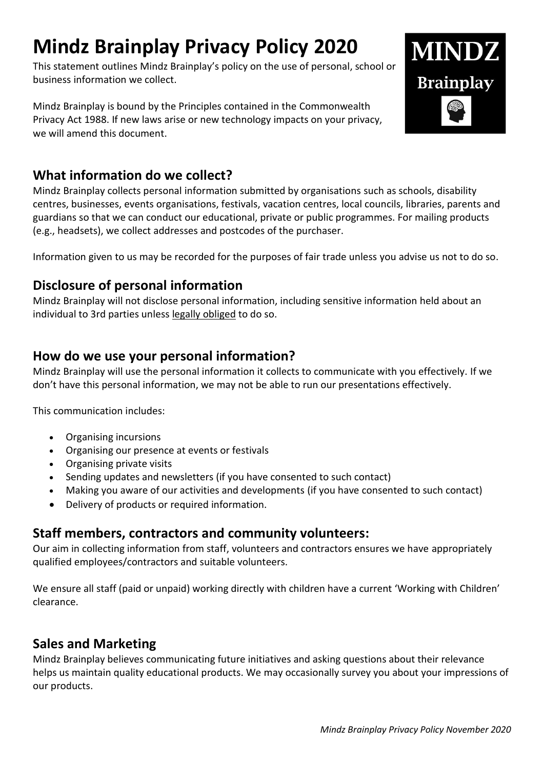# **Mindz Brainplay Privacy Policy 2020**

This statement outlines Mindz Brainplay's policy on the use of personal, school or business information we collect.

Mindz Brainplay is bound by the Principles contained in the Commonwealth Privacy Act 1988. If new laws arise or new technology impacts on your privacy, we will amend this document.



## **What information do we collect?**

Mindz Brainplay collects personal information submitted by organisations such as schools, disability centres, businesses, events organisations, festivals, vacation centres, local councils, libraries, parents and guardians so that we can conduct our educational, private or public programmes. For mailing products (e.g., headsets), we collect addresses and postcodes of the purchaser.

Information given to us may be recorded for the purposes of fair trade unless you advise us not to do so.

#### **Disclosure of personal information**

Mindz Brainplay will not disclose personal information, including sensitive information held about an individual to 3rd parties unless legally obliged to do so.

#### **How do we use your personal information?**

Mindz Brainplay will use the personal information it collects to communicate with you effectively. If we don't have this personal information, we may not be able to run our presentations effectively.

This communication includes:

- Organising incursions
- Organising our presence at events or festivals
- Organising private visits
- Sending updates and newsletters (if you have consented to such contact)
- Making you aware of our activities and developments (if you have consented to such contact)
- Delivery of products or required information.

#### **Staff members, contractors and community volunteers:**

Our aim in collecting information from staff, volunteers and contractors ensures we have appropriately qualified employees/contractors and suitable volunteers.

We ensure all staff (paid or unpaid) working directly with children have a current 'Working with Children' clearance.

#### **Sales and Marketing**

Mindz Brainplay believes communicating future initiatives and asking questions about their relevance helps us maintain quality educational products. We may occasionally survey you about your impressions of our products.